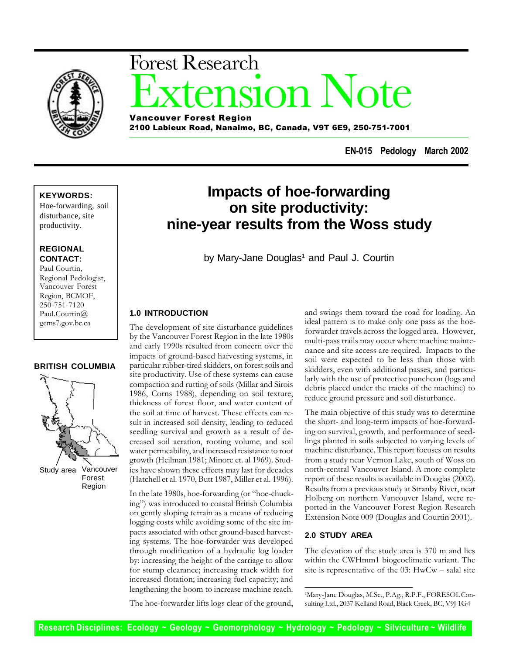

# **ISION Note** Forest Research Vancouver Forest Region

2100 Labieux Road, Nanaimo, BC, Canada, V9T 6E9, 250-751-7001

**EN-015 Pedology March 2002**

### **KEYWORDS:**

Hoe-forwarding, soil disturbance, site productivity.

### **REGIONAL CONTACT:**

Paul Courtin, Regional Pedologist, Vancouver Forest Region, BCMOF, 250-751-7120 Paul.Courtin@ gems7.gov.bc.ca

### **BRITISH COLUMBIA**



Vancouver Forest Region Study area

## **Impacts of hoe-forwarding on site productivity: nine-year results from the Woss study**

by Mary-Jane Douglas<sup>1</sup> and Paul J. Courtin

### **1.0 INTRODUCTION**

The development of site disturbance guidelines by the Vancouver Forest Region in the late 1980s and early 1990s resulted from concern over the impacts of ground-based harvesting systems, in particular rubber-tired skidders, on forest soils and site productivity. Use of these systems can cause compaction and rutting of soils (Millar and Sirois 1986, Corns 1988), depending on soil texture, thickness of forest floor, and water content of the soil at time of harvest. These effects can result in increased soil density, leading to reduced seedling survival and growth as a result of decreased soil aeration, rooting volume, and soil water permeability, and increased resistance to root growth (Heilman 1981; Minore et. al 1969). Studies have shown these effects may last for decades (Hatchell et al. 1970, Butt 1987, Miller et al. 1996).

In the late 1980s, hoe-forwarding (or "hoe-chucking") was introduced to coastal British Columbia on gently sloping terrain as a means of reducing logging costs while avoiding some of the site impacts associated with other ground-based harvesting systems. The hoe-forwarder was developed through modification of a hydraulic log loader by: increasing the height of the carriage to allow for stump clearance; increasing track width for increased flotation; increasing fuel capacity; and lengthening the boom to increase machine reach.

and swings them toward the road for loading. An ideal pattern is to make only one pass as the hoeforwarder travels across the logged area. However, multi-pass trails may occur where machine maintenance and site access are required. Impacts to the soil were expected to be less than those with skidders, even with additional passes, and particularly with the use of protective puncheon (logs and debris placed under the tracks of the machine) to reduce ground pressure and soil disturbance.

The main objective of this study was to determine the short- and long-term impacts of hoe-forwarding on survival, growth, and performance of seedlings planted in soils subjected to varying levels of machine disturbance. This report focuses on results from a study near Vernon Lake, south of Woss on north-central Vancouver Island. A more complete report of these results is available in Douglas (2002). Results from a previous study at Stranby River, near Holberg on northern Vancouver Island, were reported in the Vancouver Forest Region Research Extension Note 009 (Douglas and Courtin 2001).

### **2.0 STUDY AREA**

The elevation of the study area is 370 m and lies within the CWHmm1 biogeoclimatic variant. The site is representative of the 03: HwCw – salal site

<sup>1</sup>Mary-Jane Douglas, M.Sc., P.Ag., R.P.F., FORESOL Consulting Ltd., 2037 Kelland Road, Black Creek, BC, V9J 1G4

The hoe-forwarder lifts logs clear of the ground,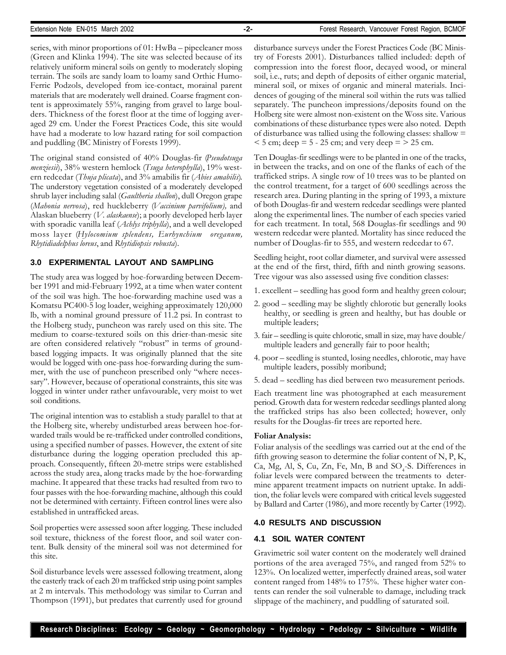series, with minor proportions of 01: HwBa – pipecleaner moss (Green and Klinka 1994). The site was selected because of its relatively uniform mineral soils on gently to moderately sloping terrain. The soils are sandy loam to loamy sand Orthic Humo-Ferric Podzols, developed from ice-contact, morainal parent materials that are moderately well drained. Coarse fragment content is approximately 55%, ranging from gravel to large boulders. Thickness of the forest floor at the time of logging averaged 29 cm. Under the Forest Practices Code, this site would have had a moderate to low hazard rating for soil compaction and puddling (BC Ministry of Forests 1999).

The original stand consisted of 40% Douglas-fir (*Pseudotsuga menziesii*), 38% western hemlock (*Tsuga heterophylla*), 19% western redcedar (*Thuja plicata*), and 3% amabilis fir (*Abies amabilis*). The understory vegetation consisted of a moderately developed shrub layer including salal (*Gaultheria shallon*), dull Oregon grape (*Mahonia nervosa*), red huckleberry (*Vaccinium parvifolium),* and Alaskan blueberry (*V. alaskaense*); a poorly developed herb layer with sporadic vanilla leaf (*Achlys triphylla*), and a well developed moss layer (*Hylocomium splendens, Eurhynchium oreganum, Rhytidiadelphus loreus*, and *Rhytidiopsis robusta*).

### **3.0 EXPERIMENTAL LAYOUT AND SAMPLING**

The study area was logged by hoe-forwarding between December 1991 and mid-February 1992, at a time when water content of the soil was high. The hoe-forwarding machine used was a Komatsu PC400-5 log loader, weighing approximately 120,000 lb, with a nominal ground pressure of 11.2 psi. In contrast to the Holberg study, puncheon was rarely used on this site. The medium to coarse-textured soils on this drier-than-mesic site are often considered relatively "robust" in terms of groundbased logging impacts. It was originally planned that the site would be logged with one-pass hoe-forwarding during the summer, with the use of puncheon prescribed only "where necessary". However, because of operational constraints, this site was logged in winter under rather unfavourable, very moist to wet soil conditions.

The original intention was to establish a study parallel to that at the Holberg site, whereby undisturbed areas between hoe-forwarded trails would be re-trafficked under controlled conditions, using a specified number of passes. However, the extent of site disturbance during the logging operation precluded this approach. Consequently, fifteen 20-metre strips were established across the study area, along tracks made by the hoe-forwarding machine. It appeared that these tracks had resulted from two to four passes with the hoe-forwarding machine, although this could not be determined with certainty. Fifteen control lines were also established in untrafficked areas.

Soil properties were assessed soon after logging. These included soil texture, thickness of the forest floor, and soil water content. Bulk density of the mineral soil was not determined for this site.

Soil disturbance levels were assessed following treatment, along the easterly track of each 20 m trafficked strip using point samples at 2 m intervals. This methodology was similar to Curran and Thompson (1991), but predates that currently used for ground disturbance surveys under the Forest Practices Code (BC Ministry of Forests 2001). Disturbances tallied included: depth of compression into the forest floor, decayed wood, or mineral soil, i.e., ruts; and depth of deposits of either organic material, mineral soil, or mixes of organic and mineral materials. Incidences of gouging of the mineral soil within the ruts was tallied separately. The puncheon impressions/deposits found on the Holberg site were almost non-existent on the Woss site. Various combinations of these disturbance types were also noted. Depth of disturbance was tallied using the following classes: shallow =  $<$  5 cm; deep = 5 - 25 cm; and very deep =  $>$  25 cm.

Ten Douglas-fir seedlings were to be planted in one of the tracks, in between the tracks, and on one of the flanks of each of the trafficked strips. A single row of 10 trees was to be planted on the control treatment, for a target of 600 seedlings across the research area. During planting in the spring of 1993, a mixture of both Douglas-fir and western redcedar seedlings were planted along the experimental lines. The number of each species varied for each treatment. In total, 568 Douglas-fir seedlings and 90 western redcedar were planted. Mortality has since reduced the number of Douglas-fir to 555, and western redcedar to 67.

Seedling height, root collar diameter, and survival were assessed at the end of the first, third, fifth and ninth growing seasons. Tree vigour was also assessed using five condition classes:

- 1. excellent seedling has good form and healthy green colour;
- 2. good seedling may be slightly chlorotic but generally looks healthy, or seedling is green and healthy, but has double or multiple leaders;
- 3. fair seedling is quite chlorotic, small in size, may have double/ multiple leaders and generally fair to poor health;
- 4. poor seedling is stunted, losing needles, chlorotic, may have multiple leaders, possibly moribund;
- 5. dead seedling has died between two measurement periods.

Each treatment line was photographed at each measurement period. Growth data for western redcedar seedlings planted along the trafficked strips has also been collected; however, only results for the Douglas-fir trees are reported here.

### **Foliar Analysis:**

Foliar analysis of the seedlings was carried out at the end of the fifth growing season to determine the foliar content of N, P, K, Ca, Mg, Al, S, Cu, Zn, Fe, Mn, B and  $SO_4$ -S. Differences in foliar levels were compared between the treatments to determine apparent treatment impacts on nutrient uptake. In addition, the foliar levels were compared with critical levels suggested by Ballard and Carter (1986), and more recently by Carter (1992).

### **4.0 RESULTS AND DISCUSSION**

### **4.1 SOIL WATER CONTENT**

Gravimetric soil water content on the moderately well drained portions of the area averaged 75%, and ranged from 52% to 123%. On localized wetter, imperfectly drained areas, soil water content ranged from 148% to 175%. These higher water contents can render the soil vulnerable to damage, including track slippage of the machinery, and puddling of saturated soil.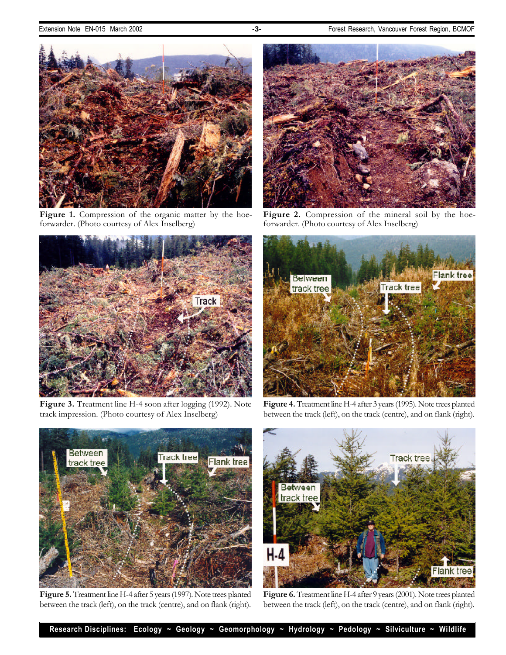

Figure 1. Compression of the organic matter by the hoeforwarder. (Photo courtesy of Alex Inselberg)



Figure 3. Treatment line H-4 soon after logging (1992). Note track impression. (Photo courtesy of Alex Inselberg)



Figure 2. Compression of the mineral soil by the hoeforwarder. (Photo courtesy of Alex Inselberg)



**Figure 4.** Treatment line H-4 after 3 years (1995). Note trees planted between the track (left), on the track (centre), and on flank (right).



**Figure 5.** Treatment line H-4 after 5 years (1997). Note trees planted between the track (left), on the track (centre), and on flank (right).



Figure 6. Treatment line H-4 after 9 years (2001). Note trees planted between the track (left), on the track (centre), and on flank (right).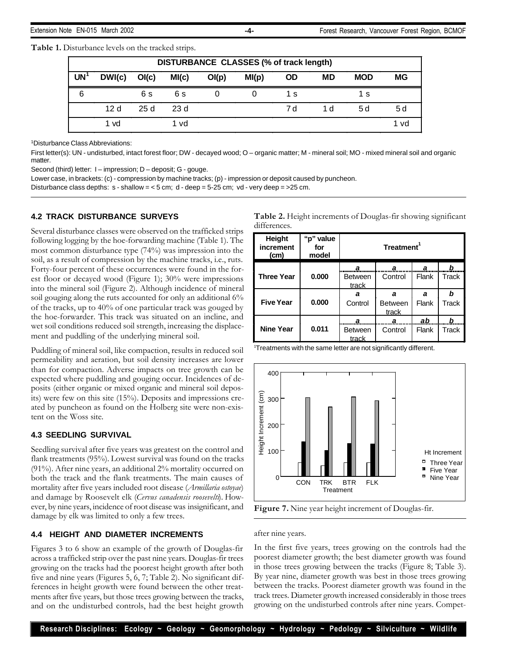**Table 1.** Disturbance levels on the tracked strips.

|           | DISTURBANCE CLASSES (% of track length) |                    |       |        |       |     |           |            |      |
|-----------|-----------------------------------------|--------------------|-------|--------|-------|-----|-----------|------------|------|
| <b>UN</b> | DWI(c)                                  | O <sub>l</sub> (c) | MI(c) | O( p ) | MI(p) | OD  | <b>MD</b> | <b>MOD</b> | МG   |
| 6         |                                         | 6 s                | 6 s   |        |       | 1 s |           | 1 s        |      |
|           | 12 <sub>d</sub>                         | 25d                | 23 d  |        |       | 7 d | 1 d       | 5 d        | 5 d  |
|           | 1 vd                                    |                    | 1 vd  |        |       |     |           |            | 1 vd |

<sup>1</sup>Disturbance Class Abbreviations:

First letter(s): UN - undisturbed, intact forest floor; DW - decayed wood; O – organic matter; M - mineral soil; MO - mixed mineral soil and organic matter.

Second (third) letter: I – impression; D – deposit; G - gouge.

Lower case, in brackets: (c) - compression by machine tracks; (p) - impression or deposit caused by puncheon.

Disturbance class depths:  $s$  - shallow =  $<$  5 cm; d - deep =  $5-25$  cm; vd - very deep =  $>$ 25 cm.

### **4.2 TRACK DISTURBANCE SURVEYS**

Several disturbance classes were observed on the trafficked strips following logging by the hoe-forwarding machine (Table 1). The most common disturbance type (74%) was impression into the soil, as a result of compression by the machine tracks, i.e., ruts. Forty-four percent of these occurrences were found in the forest floor or decayed wood (Figure 1); 30% were impressions into the mineral soil (Figure 2). Although incidence of mineral soil gouging along the ruts accounted for only an additional 6% of the tracks, up to 40% of one particular track was gouged by the hoe-forwarder. This track was situated on an incline, and wet soil conditions reduced soil strength, increasing the displacement and puddling of the underlying mineral soil.

Puddling of mineral soil, like compaction, results in reduced soil permeability and aeration, but soil density increases are lower than for compaction. Adverse impacts on tree growth can be expected where puddling and gouging occur. Incidences of deposits (either organic or mixed organic and mineral soil deposits) were few on this site (15%). Deposits and impressions created by puncheon as found on the Holberg site were non-existent on the Woss site.

### **4.3 SEEDLING SURVIVAL**

Seedling survival after five years was greatest on the control and flank treatments (95%). Lowest survival was found on the tracks (91%). After nine years, an additional 2% mortality occurred on both the track and the flank treatments. The main causes of mortality after five years included root disease (*Armillaria ostoyae*) and damage by Roosevelt elk (*Cervus canadensis roosevelti*). However, by nine years, incidence of root disease was insignificant, and damage by elk was limited to only a few trees.

### **4.4 HEIGHT AND DIAMETER INCREMENTS**

Figures 3 to 6 show an example of the growth of Douglas-fir across a trafficked strip over the past nine years. Douglas-fir trees growing on the tracks had the poorest height growth after both five and nine years (Figures 5, 6, 7; Table 2). No significant differences in height growth were found between the other treatments after five years, but those trees growing between the tracks, and on the undisturbed controls, had the best height growth

| Table 2. Height increments of Douglas-fir showing significant |  |
|---------------------------------------------------------------|--|
| differences.                                                  |  |

| <b>Height</b><br>increment<br>(cm) | "p" value<br>for<br>model | Treatment <sup>1</sup>  |                |       |       |  |  |
|------------------------------------|---------------------------|-------------------------|----------------|-------|-------|--|--|
|                                    |                           | a                       | а              | а     | b     |  |  |
| <b>Three Year</b>                  | 0.000                     | <b>Between</b><br>track | Control        | Flank | Track |  |  |
|                                    |                           | a                       | a              | a     | b     |  |  |
| <b>Five Year</b>                   | 0.000                     | Control                 | <b>Between</b> | Flank | Track |  |  |
|                                    |                           |                         | track          |       |       |  |  |
|                                    |                           | a                       | а              | ab    | b     |  |  |
| <b>Nine Year</b>                   | 0.011                     | <b>Between</b><br>track | Control        | Flank | Track |  |  |

<sup>1</sup>Treatments with the same letter are not significantly different.



**Figure 7.** Nine year height increment of Douglas-fir.

### after nine years.

In the first five years, trees growing on the controls had the poorest diameter growth; the best diameter growth was found in those trees growing between the tracks (Figure 8; Table 3). By year nine, diameter growth was best in those trees growing between the tracks. Poorest diameter growth was found in the track trees. Diameter growth increased considerably in those trees growing on the undisturbed controls after nine years. Compet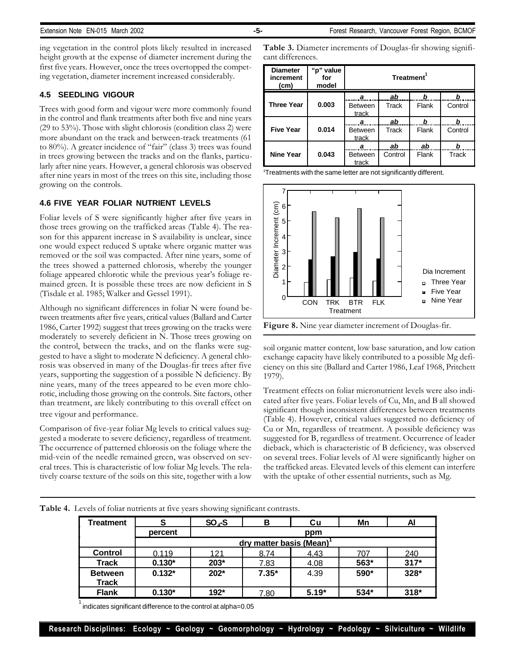ing vegetation in the control plots likely resulted in increased height growth at the expense of diameter increment during the first five years. However, once the trees overtopped the competing vegetation, diameter increment increased considerably.

### **4.5 SEEDLING VIGOUR**

Trees with good form and vigour were more commonly found in the control and flank treatments after both five and nine years (29 to 53%). Those with slight chlorosis (condition class 2) were more abundant on the track and between-track treatments (61 to 80%). A greater incidence of "fair" (class 3) trees was found in trees growing between the tracks and on the flanks, particularly after nine years. However, a general chlorosis was observed after nine years in most of the trees on this site, including those growing on the controls.

### **4.6 FIVE YEAR FOLIAR NUTRIENT LEVELS**

Foliar levels of S were significantly higher after five years in those trees growing on the trafficked areas (Table 4). The reason for this apparent increase in S availability is unclear, since one would expect reduced S uptake where organic matter was removed or the soil was compacted. After nine years, some of the trees showed a patterned chlorosis, whereby the younger foliage appeared chlorotic while the previous year's foliage remained green. It is possible these trees are now deficient in S (Tisdale et al. 1985; Walker and Gessel 1991).

Although no significant differences in foliar N were found between treatments after five years, critical values (Ballard and Carter 1986, Carter 1992) suggest that trees growing on the tracks were moderately to severely deficient in N. Those trees growing on the control, between the tracks, and on the flanks were suggested to have a slight to moderate N deficiency. A general chlorosis was observed in many of the Douglas-fir trees after five years, supporting the suggestion of a possible N deficiency. By nine years, many of the trees appeared to be even more chlorotic, including those growing on the controls. Site factors, other than treatment, are likely contributing to this overall effect on tree vigour and performance.

Comparison of five-year foliar Mg levels to critical values suggested a moderate to severe deficiency, regardless of treatment. The occurrence of patterned chlorosis on the foliage where the mid-vein of the needle remained green, was observed on several trees. This is characteristic of low foliar Mg levels. The relatively coarse texture of the soils on this site, together with a low

**Table 3.** Diameter increments of Douglas-fir showing significant differences.

| <b>Diameter</b><br>increment<br>(c <sub>m</sub> ) | "p" value<br>for<br>model | Treatment <sup>1</sup>  |         |       |         |  |  |
|---------------------------------------------------|---------------------------|-------------------------|---------|-------|---------|--|--|
|                                                   |                           | а                       | ab      | b     | b       |  |  |
| <b>Three Year</b>                                 | 0.003                     | <b>Between</b><br>track | Track   | Flank | Control |  |  |
|                                                   |                           | а                       | ab      | b     | b       |  |  |
| <b>Five Year</b>                                  | 0.014                     | <b>Between</b><br>track | Track   | Flank | Control |  |  |
|                                                   |                           | а                       | ab      | ab    | b       |  |  |
| <b>Nine Year</b>                                  | 0.043                     | <b>Between</b><br>track | Control | Flank | Track   |  |  |

<sup>1</sup>Treatments with the same letter are not significantly different.



**Figure 8.** Nine year diameter increment of Douglas-fir.

soil organic matter content, low base saturation, and low cation exchange capacity have likely contributed to a possible Mg deficiency on this site (Ballard and Carter 1986, Leaf 1968, Pritchett 1979).

Treatment effects on foliar micronutrient levels were also indicated after five years. Foliar levels of Cu, Mn, and B all showed significant though inconsistent differences between treatments (Table 4). However, critical values suggested no deficiency of Cu or Mn, regardless of treatment. A possible deficiency was suggested for B, regardless of treatment. Occurrence of leader dieback, which is characteristic of B deficiency, was observed on several trees. Foliar levels of Al were significantly higher on the trafficked areas. Elevated levels of this element can interfere with the uptake of other essential nutrients, such as Mg.

| Treatment                      |                            | $SO4-S$ | в       | Cu      | Mn   | Al     |  |  |  |
|--------------------------------|----------------------------|---------|---------|---------|------|--------|--|--|--|
|                                | percent                    |         |         | ppm     |      |        |  |  |  |
|                                | matter basis (Mean)<br>drv |         |         |         |      |        |  |  |  |
| <b>Control</b>                 | 0.119                      | 121     | 8.74    | 4.43    | 707  | 240    |  |  |  |
| <b>Track</b>                   | $0.130*$                   | 203*    | 7.83    | 4.08    | 563* | $317*$ |  |  |  |
| <b>Between</b><br><b>Track</b> | $0.132*$                   | 202*    | $7.35*$ | 4.39    | 590* | 328*   |  |  |  |
| <b>Flank</b>                   | $0.130*$                   | 192*    | 7.80    | $5.19*$ | 534* | $318*$ |  |  |  |

**Table 4.** Levels of foliar nutrients at five years showing significant contrasts.

 $^\text{1}$  indicates significant difference to the control at alpha=0.05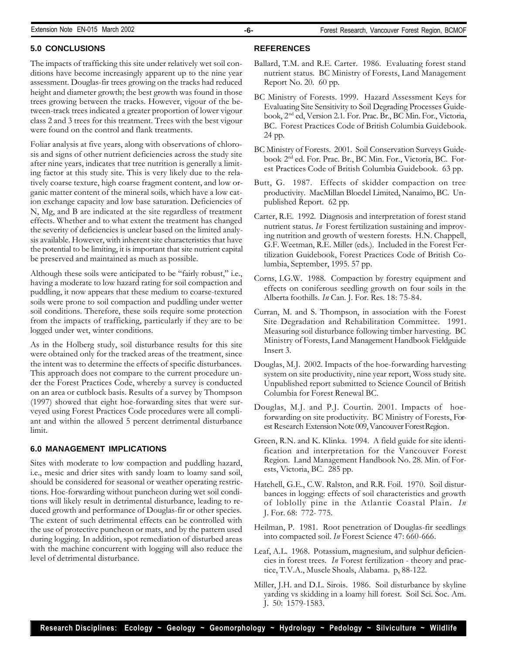### **5.0 CONCLUSIONS**

The impacts of trafficking this site under relatively wet soil conditions have become increasingly apparent up to the nine year assessment. Douglas-fir trees growing on the tracks had reduced height and diameter growth; the best growth was found in those trees growing between the tracks. However, vigour of the between-track trees indicated a greater proportion of lower vigour class 2 and 3 trees for this treatment. Trees with the best vigour were found on the control and flank treatments.

Foliar analysis at five years, along with observations of chlorosis and signs of other nutrient deficiencies across the study site after nine years, indicates that tree nutrition is generally a limiting factor at this study site. This is very likely due to the relatively coarse texture, high coarse fragment content, and low organic matter content of the mineral soils, which have a low cation exchange capacity and low base saturation. Deficiencies of N, Mg, and B are indicated at the site regardless of treatment effects. Whether and to what extent the treatment has changed the severity of deficiencies is unclear based on the limited analysis available. However, with inherent site characteristics that have the potential to be limiting, it is important that site nutrient capital be preserved and maintained as much as possible.

Although these soils were anticipated to be "fairly robust," i.e., having a moderate to low hazard rating for soil compaction and puddling, it now appears that these medium to coarse-textured soils were prone to soil compaction and puddling under wetter soil conditions. Therefore, these soils require some protection from the impacts of trafficking, particularly if they are to be logged under wet, winter conditions.

As in the Holberg study, soil disturbance results for this site were obtained only for the tracked areas of the treatment, since the intent was to determine the effects of specific disturbances. This approach does not compare to the current procedure under the Forest Practices Code, whereby a survey is conducted on an area or cutblock basis. Results of a survey by Thompson (1997) showed that eight hoe-forwarding sites that were surveyed using Forest Practices Code procedures were all compliant and within the allowed 5 percent detrimental disturbance limit.

### **6.0 MANAGEMENT IMPLICATIONS**

Sites with moderate to low compaction and puddling hazard, i.e., mesic and drier sites with sandy loam to loamy sand soil, should be considered for seasonal or weather operating restrictions. Hoe-forwarding without puncheon during wet soil conditions will likely result in detrimental disturbance, leading to reduced growth and performance of Douglas-fir or other species. The extent of such detrimental effects can be controlled with the use of protective puncheon or mats, and by the pattern used during logging. In addition, spot remediation of disturbed areas with the machine concurrent with logging will also reduce the level of detrimental disturbance.

- Ballard, T.M. and R.E. Carter. 1986. Evaluating forest stand nutrient status*.* BC Ministry of Forests, Land Management Report No. 20. 60 pp.
- BC Ministry of Forests. 1999. Hazard Assessment Keys for Evaluating Site Sensitivity to Soil Degrading Processes Guidebook, 2nd ed, Version 2.1*.* For. Prac. Br., BC Min. For., Victoria, BC. Forest Practices Code of British Columbia Guidebook. 24 pp.
- BC Ministry of Forests. 2001. Soil Conservation Surveys Guidebook 2nd ed*.* For. Prac. Br., BC Min. For., Victoria, BC. Forest Practices Code of British Columbia Guidebook. 63 pp.
- Butt, G. 1987. Effects of skidder compaction on tree productivity. MacMillan Bloedel Limited, Nanaimo, BC. Unpublished Report. 62 pp.
- Carter, R.E. 1992. Diagnosis and interpretation of forest stand nutrient status. *In* Forest fertilization sustaining and improving nutrition and growth of western forests*.* H.N. Chappell, G.F. Weetman, R.E. Miller (eds.). Included in the Forest Fertilization Guidebook, Forest Practices Code of British Columbia, September, 1995. 57 pp.
- Corns, I.G.W. 1988. Compaction by forestry equipment and effects on coniferous seedling growth on four soils in the Alberta foothills. *In* Can. J. For. Res*.* 18: 75-84.
- Curran, M. and S. Thompson, in association with the Forest Site Degradation and Rehabilitation Committee. 1991. Measuring soil disturbance following timber harvesting. BC Ministry of Forests, Land Management Handbook Fieldguide Insert 3.
- Douglas, M.J. 2002. Impacts of the hoe-forwarding harvesting system on site productivity, nine year report, Woss study site. Unpublished report submitted to Science Council of British Columbia for Forest Renewal BC.
- Douglas, M.J. and P.J. Courtin. 2001. Impacts of hoeforwarding on site productivity*.* BC Ministry of Forests, Forest Research Extension Note 009, Vancouver Forest Region.
- Green, R.N. and K. Klinka. 1994. A field guide for site identification and interpretation for the Vancouver Forest Region. Land Management Handbook No. 28. Min. of Forests, Victoria, BC. 285 pp.
- Hatchell, G.E., C.W. Ralston, and R.R. Foil. 1970. Soil disturbances in logging: effects of soil characteristics and growth of loblolly pine in the Atlantic Coastal Plain. *In* J. For. 68: 772- 775.
- Heilman, P. 1981. Root penetration of Douglas-fir seedlings into compacted soil. *In* Forest Science 47: 660-666.
- Leaf, A.L. 1968. Potassium, magnesium, and sulphur deficiencies in forest trees. *In* Forest fertilization - theory and practice, T.V.A., Muscle Shoals, Alabama. p, 88-122.
- Miller, J.H. and D.L. Sirois. 1986. Soil disturbance by skyline yarding vs skidding in a loamy hill forest. Soil Sci. Soc. Am. J. 50: 1579-1583.